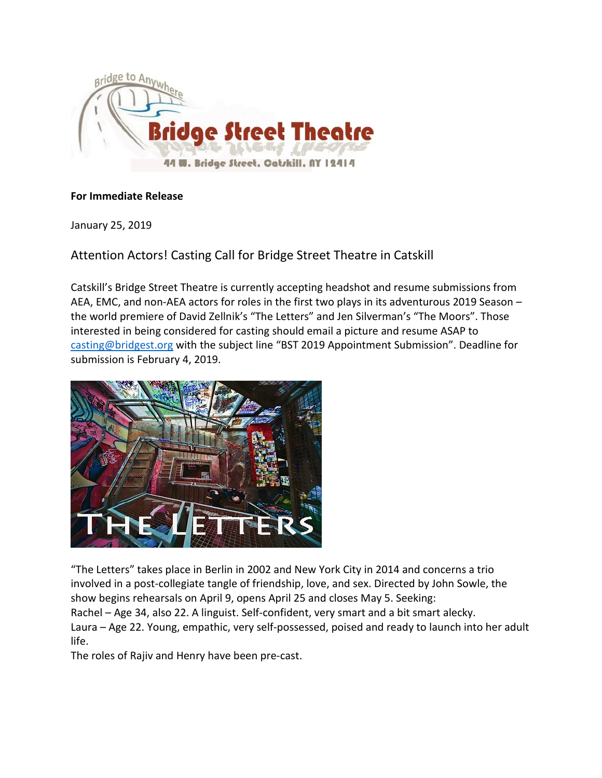

## **For Immediate Release**

January 25, 2019

Attention Actors! Casting Call for Bridge Street Theatre in Catskill

Catskill's Bridge Street Theatre is currently accepting headshot and resume submissions from AEA, EMC, and non-AEA actors for roles in the first two plays in its adventurous 2019 Season – the world premiere of David Zellnik's "The Letters" and Jen Silverman's "The Moors". Those interested in being considered for casting should email a picture and resume ASAP to [casting@bridgest.org](mailto:casting@bridgest.org) with the subject line "BST 2019 Appointment Submission". Deadline for submission is February 4, 2019.



"The Letters" takes place in Berlin in 2002 and New York City in 2014 and concerns a trio involved in a post-collegiate tangle of friendship, love, and sex. Directed by John Sowle, the show begins rehearsals on April 9, opens April 25 and closes May 5. Seeking:

Rachel – Age 34, also 22. A linguist. Self-confident, very smart and a bit smart alecky. Laura – Age 22. Young, empathic, very self-possessed, poised and ready to launch into her adult life.

The roles of Rajiv and Henry have been pre-cast.